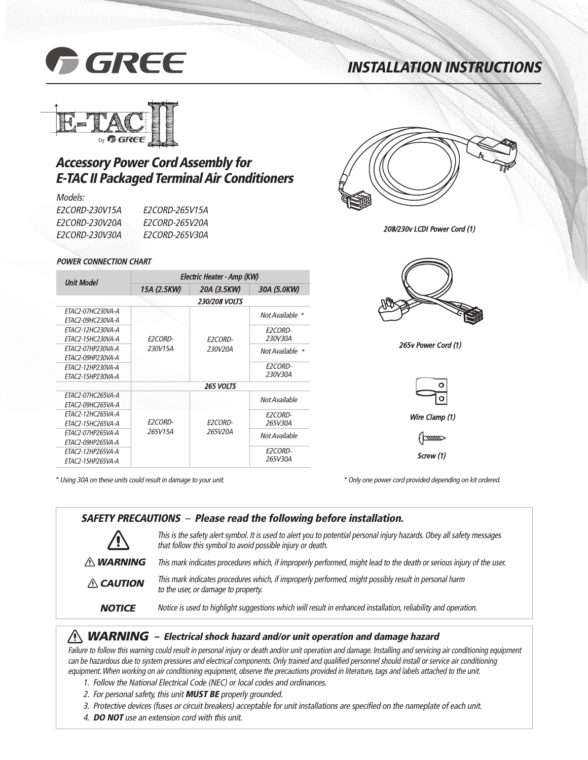

# **INSTALLATION INSTRUCTIONS**



## **Accessory Power Cord Assembly for E-TAC II Packaged Terminal Air Conditioners**

#### Models:

| <i>F2CORD-230V15A</i> | <i>F2CORD-265V15A</i> |
|-----------------------|-----------------------|
| <i>F2CORD-230V20A</i> | <i>F2CORD-265V20A</i> |
| <i>F2CORD-230V30A</i> | <i>F2CORD-265V30A</i> |

#### POWER CONNECTION CHART

| <b>Unit Model</b>        | Electric Heater - Amp (KW) |                      |                 |  |
|--------------------------|----------------------------|----------------------|-----------------|--|
|                          | 15A (2.5KW)                | 20A (3.5KW)          | 30A (5.0KW)     |  |
|                          |                            | <b>230/208 VOLTS</b> |                 |  |
| ETAC2-07HC230VA-A        |                            |                      | Not Available * |  |
| ETAC2-09HC230VA-A        |                            |                      |                 |  |
| ETAC2-12HC230VA-A        |                            |                      | E2CORD-         |  |
| ETAC2-15HC230VA-A        | <b>E2CORD-</b>             | E2CORD-              | 230V30A         |  |
| <i>FTAC2-07HP230VA-A</i> | 230V15A                    | 230V20A              | Not Available * |  |
| ETAC2-09HP230VA-A        |                            |                      |                 |  |
| FTAC2-12HP230VA-A        |                            |                      | E2CORD-         |  |
| ETAC2-15HP230VA-A        |                            |                      | 230V30A         |  |
|                          |                            | <b>265 VOLTS</b>     |                 |  |
| ETAC2-07HC265VA-A        |                            |                      | Not Available   |  |
| ETAC2-09HC265VA-A        |                            |                      |                 |  |
| FTAC2-12HC265VA-A        |                            |                      | E2CORD-         |  |
| ETAC2-15HC265VA-A        | <b>E2CORD-</b><br>265V15A  | E2CORD-<br>265V20A   | 265V30A         |  |
| ETAC2-07HP265VA-A        |                            |                      | Not Available   |  |
| ETAC2-09HP265VA-A        |                            |                      |                 |  |
| ETAC2-12HP265VA-A        |                            |                      | E2CORD-         |  |
| ETAC2-15HP265VA-A        |                            |                      | 265V30A         |  |

\* Using 30A on these units could result in damage to your unit. \* Only one power cord provided depending on kit ordered.



208/230v LCDI Power Cord (1)



265v Power Cord (1)



| <b>SAFETY PRECAUTIONS</b> - Please read the following before installation. |                                                                                                                                                                                       |  |
|----------------------------------------------------------------------------|---------------------------------------------------------------------------------------------------------------------------------------------------------------------------------------|--|
|                                                                            | This is the safety alert symbol. It is used to alert you to potential personal injury hazards. Obey all safety messages<br>that follow this symbol to avoid possible injury or death. |  |
| $\wedge$ WARNING                                                           | This mark indicates procedures which, if improperly performed, might lead to the death or serious injury of the user.                                                                 |  |
| $\triangle$ CAUTION                                                        | This mark indicates procedures which, if improperly performed, might possibly result in personal harm<br>to the user, or damage to property.                                          |  |
| <b>NOTICE</b>                                                              | Notice is used to highlight suggestions which will result in enhanced installation, reliability and operation.                                                                        |  |

#### **WARNING** - Electrical shock hazard and/or unit operation and damage hazard

Failure to follow this warning could result in personal injury or death and/or unit operation and damage. Installing and servicing air conditioning equipment can be hazardous due to system pressures and electrical components. Only trained and qualified personnel should install or service air conditioning equipment. When working on air conditioning equipment, observe the precautions provided in literature, tags and labels attached to the unit.

- 1. Follow the National Electrical Code (NEC) or local codes and ordinances.
- 2. For personal safety, this unit **MUST BE** properly grounded.
- 3. Protective devices (fuses or circuit breakers) acceptable for unit installations are specified on the nameplate of each unit.
- 4. **DO NOT** use an extension cord with this unit.